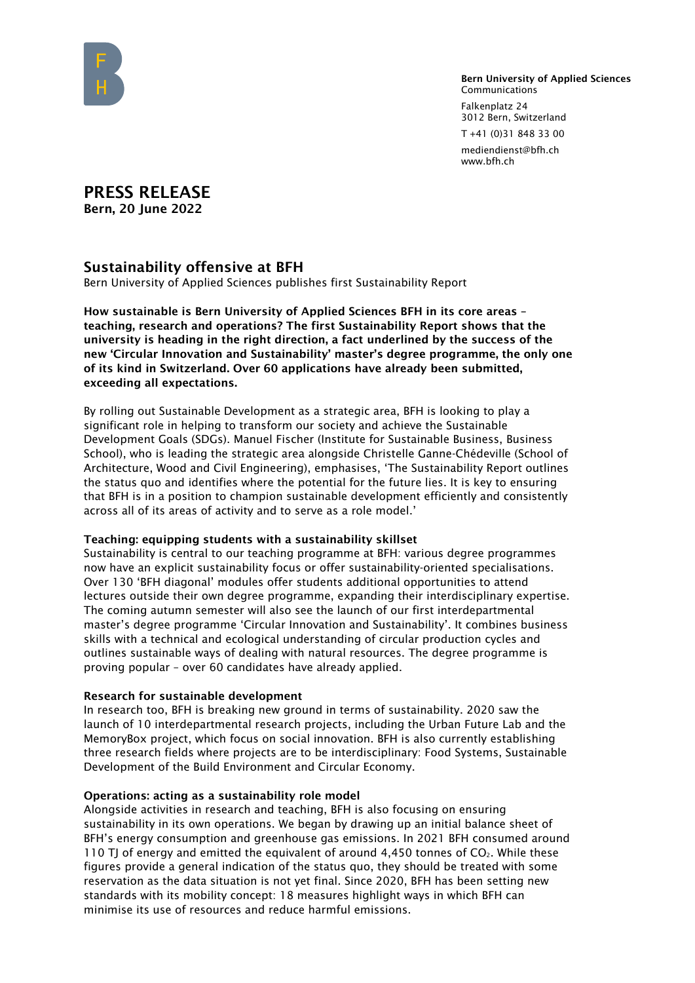

Bern University of Applied Sciences Communications Falkenplatz 24 3012 Bern, Switzerland

T +41 (0)31 848 33 00

mediendienst@bfh.ch www.bfh.ch

PRESS RELEASE Bern, 20 June 2022

## Sustainability offensive at BFH

Bern University of Applied Sciences publishes first Sustainability Report

How sustainable is Bern University of Applied Sciences BFH in its core areas – teaching, research and operations? The first Sustainability Report shows that the university is heading in the right direction, a fact underlined by the success of the new 'Circular Innovation and Sustainability' master's degree programme, the only one of its kind in Switzerland. Over 60 applications have already been submitted, exceeding all expectations.

By rolling out Sustainable Development as a strategic area, BFH is looking to play a significant role in helping to transform our society and achieve the Sustainable Development Goals (SDGs). Manuel Fischer (Institute for Sustainable Business, Business School), who is leading the strategic area alongside Christelle Ganne-Chédeville (School of Architecture, Wood and Civil Engineering), emphasises, 'The Sustainability Report outlines the status quo and identifies where the potential for the future lies. It is key to ensuring that BFH is in a position to champion sustainable development efficiently and consistently across all of its areas of activity and to serve as a role model.'

## Teaching: equipping students with a sustainability skillset

Sustainability is central to our teaching programme at BFH: various degree programmes now have an explicit sustainability focus or offer sustainability-oriented specialisations. Over 130 'BFH diagonal' modules offer students additional opportunities to attend lectures outside their own degree programme, expanding their interdisciplinary expertise. The coming autumn semester will also see the launch of our first interdepartmental master's degree programme 'Circular Innovation and Sustainability'. It combines business skills with a technical and ecological understanding of circular production cycles and outlines sustainable ways of dealing with natural resources. The degree programme is proving popular – over 60 candidates have already applied.

## Research for sustainable development

In research too, BFH is breaking new ground in terms of sustainability. 2020 saw the launch of 10 interdepartmental research projects, including the Urban Future Lab and the MemoryBox project, which focus on social innovation. BFH is also currently establishing three research fields where projects are to be interdisciplinary: Food Systems, Sustainable Development of the Build Environment and Circular Economy.

## Operations: acting as a sustainability role model

Alongside activities in research and teaching, BFH is also focusing on ensuring sustainability in its own operations. We began by drawing up an initial balance sheet of BFH's energy consumption and greenhouse gas emissions. In 2021 BFH consumed around 110 TJ of energy and emitted the equivalent of around 4,450 tonnes of  $CO<sub>2</sub>$ . While these figures provide a general indication of the status quo, they should be treated with some reservation as the data situation is not yet final. Since 2020, BFH has been setting new standards with its mobility concept: 18 measures highlight ways in which BFH can minimise its use of resources and reduce harmful emissions.